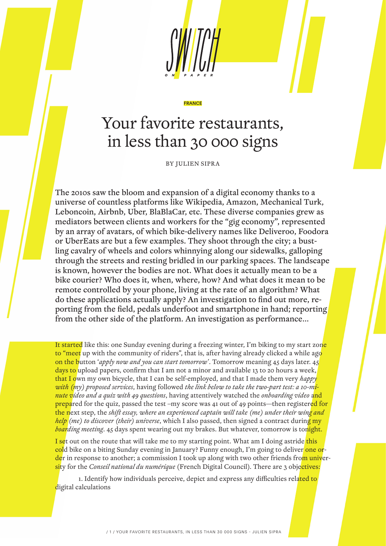

#### FRANCE

# Your favorite restaurants, in less than 30 000 signs

BY JULIEN SIPRA

The 2010s saw the bloom and expansion of a digital economy thanks to a universe of countless platforms like Wikipedia, Amazon, Mechanical Turk, Leboncoin, Airbnb, Uber, BlaBlaCar, etc. These diverse companies grew as mediators between clients and workers for the "gig economy", represented by an array of avatars, of which bike-delivery names like Deliveroo, Foodora or UberEats are but a few examples. They shoot through the city; a bustling cavalry of wheels and colors whinnying along our sidewalks, galloping through the streets and resting bridled in our parking spaces. The landscape is known, however the bodies are not. What does it actually mean to be a bike courier? Who does it, when, where, how? And what does it mean to be remote controlled by your phone, living at the rate of an algorithm? What do these applications actually apply? An investigation to find out more, reporting from the field, pedals underfoot and smartphone in hand; reporting from the other side of the platform. An investigation as performance…

It started like this: one Sunday evening during a freezing winter, I'm biking to my start zone to "meet up with the community of riders", that is, after having already clicked a while ago on the button '*apply now and you can start tomorrow'*. Tomorrow meaning 45 days later. 45 days to upload papers, confirm that I am not a minor and available 13 to 20 hours a week, that I own my own bicycle, that I can be self-employed, and that I made them very *happy with (my) proposed services*, having followed *the link below to take the two-part test: a 10-minute video and a quiz with 49 questions*, having attentively watched the *onboarding video* and prepared for the quiz, passed the test –my score was 41 out of 49 points—then registered for the next step, the *shift essay, where an experienced captain will take (me) under their wing and help (me) to discover (their) universe*, which I also passed, then signed a contract during my *boarding meeting*. 45 days spent wearing out my brakes. But whatever, tomorrow is tonight.

I set out on the route that will take me to my starting point. What am I doing astride this cold bike on a biting Sunday evening in January? Funny enough, I'm going to deliver one order in response to another; a commission I took up along with two other friends from university for the *Conseil national du numérique* (French Digital Council). There are 3 objectives:

1. Identify how individuals perceive, depict and express any difficulties related to digital calculations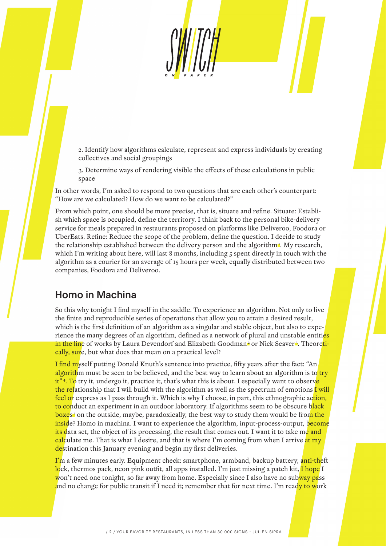2. Identify how algorithms calculate, represent and express individuals by creating collectives and social groupings

3. Determine ways of rendering visible the effects of these calculations in public space

In other words, I'm asked to respond to two questions that are each other's counterpart: "How are we calculated? How do we want to be calculated?"

From which point, one should be more precise, that is, situate and refine. Situate: Establish which space is occupied, define the territory. I think back to the personal bike-delivery service for meals prepared in restaurants proposed on platforms like Deliveroo, Foodora or UberEats. Refine: Reduce the scope of the problem, define the question. I decide to study the relationship established between the delivery person and the algorithm<sup>1</sup>. My research, which I'm writing about here, will last 8 months, including 5 spent directly in touch with the algorithm as a courier for an average of 15 hours per week, equally distributed between two companies, Foodora and Deliveroo.

# Homo in Machina

So this why tonight I find myself in the saddle. To experience an algorithm. Not only to live the finite and reproducible series of operations that allow you to attain a desired result, which is the first definition of an algorithm as a singular and stable object, but also to experience the many degrees of an algorithm, defined as a network of plural and unstable entities in the line of works by Laura Devendorf and Elizabeth Goodman<sup>2</sup> or Nick Seaver<sup>2</sup>. Theoretically, sure, but what does that mean on a practical level?

I find myself putting Donald Knuth's sentence into practice, fifty years after the fact: "An algorithm must be seen to be believed, and the best way to learn about an algorithm is to try it"<sup>4</sup>. To try it, undergo it, practice it, that's what this is about. I especially want to observe the relationship that I will build with the algorithm as well as the spectrum of emotions I will feel or express as I pass through it. Which is why I choose, in part, this ethnographic action, to conduct an experiment in an outdoor laboratory. If algorithms seem to be obscure black boxes<sup>5</sup> on the outside, maybe, paradoxically, the best way to study them would be from the inside? Homo in machina. I want to experience the algorithm, input-process-output, become its data set, the object of its processing, the result that comes out. I want it to take me and calculate me. That is what I desire, and that is where I'm coming from when I arrive at my destination this January evening and begin my first deliveries.

I'm a few minutes early. Equipment check: smartphone, armband, backup battery, anti-theft lock, thermos pack, neon pink outfit, all apps installed. I'm just missing a patch kit, I hope I won't need one tonight, so far away from home. Especially since I also have no subway pass and no change for public transit if I need it; remember that for next time. I'm ready to work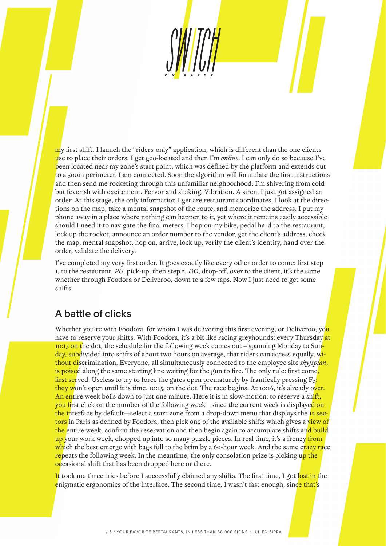my first shift. I launch the "riders-only" application, which is different than the one clients use to place their orders. I get geo-located and then I'm *online*. I can only do so because I've been located near my zone's start point, which was defined by the platform and extends out to a 500m perimeter. I am connected. Soon the algorithm will formulate the first instructions and then send me rocketing through this unfamiliar neighborhood. I'm shivering from cold but feverish with excitement. Fervor and shaking. Vibration. A siren. I just got assigned an order. At this stage, the only information I get are restaurant coordinates. I look at the directions on the map, take a mental snapshot of the route, and memorize the address. I put my phone away in a place where nothing can happen to it, yet where it remains easily accessible should I need it to navigate the final meters. I hop on my bike, pedal hard to the restaurant, lock up the rocket, announce an order number to the vendor, get the client's address, check the map, mental snapshot, hop on, arrive, lock up, verify the client's identity, hand over the order, validate the delivery.

I've completed my very first order. It goes exactly like every other order to come: first step 1, to the restaurant, *PU*, pick-up, then step 2, *DO*, drop-off, over to the client, it's the same whether through Foodora or Deliveroo, down to a few taps. Now I just need to get some shifts.

## A battle of clicks

Whether you're with Foodora, for whom I was delivering this first evening, or Deliveroo, you have to reserve your shifts. With Foodora, it's a bit like racing greyhounds: every Thursday at 10:15 on the dot, the schedule for the following week comes out - spanning Monday to Sunday, subdivided into shifts of about two hours on average, that riders can access equally, without discrimination. Everyone, all simultaneously connected to the employee site *shyftplan*, is poised along the same starting line waiting for the gun to fire. The only rule: first come, first served. Useless to try to force the gates open prematurely by frantically pressing  $F_5$ : they won't open until it is time. 10:15, on the dot. The race begins. At 10:16, it's already over. An entire week boils down to just one minute. Here it is in slow-motion: to reserve a shift, you first click on the number of the following week—since the current week is displayed on the interface by default—select a start zone from a drop-down menu that displays the 12 sectors in Paris as defined by Foodora, then pick one of the available shifts which gives a view of the entire week, confirm the reservation and then begin again to accumulate shifts and build up your work week, chopped up into so many puzzle pieces. In real time, it's a frenzy from which the best emerge with bags full to the brim by a 60-hour week. And the same crazy race repeats the following week. In the meantime, the only consolation prize is picking up the occasional shift that has been dropped here or there.

It took me three tries before I successfully claimed any shifts. The first time, I got lost in the enigmatic ergonomics of the interface. The second time, I wasn't fast enough, since that's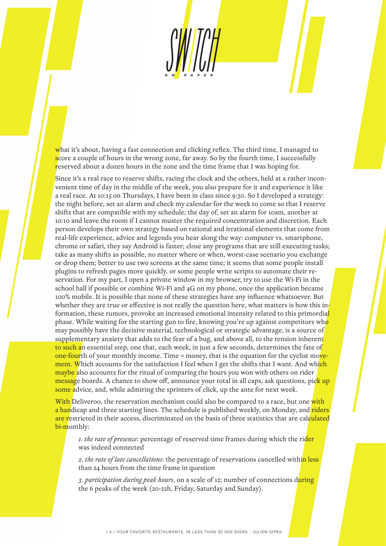what it's about, having a fast connection and clicking reflex. The third time, I managed to score a couple of hours in the wrong zone, far away. So by the fourth time, I successfully reserved about a dozen hours in the zone and the time frame that I was hoping for.

Since it's a real race to reserve shifts, racing the clock and the others, held at a rather inconvenient time of day in the middle of the week, you also prepare for it and experience it like a real race. At 10:15 on Thursdays, I have been in class since 9:30. So I developed a strategy: the night before, set an alarm and check my calendar for the week to come so that I reserve shifts that are compatible with my schedule; the day of, set an alarm for 10am, another at 10:10 and leave the room if I cannot muster the required concentration and discretion. Each person develops their own strategy based on rational and irrational elements that come from real-life experience, advice and legends you hear along the way: computer vs. smartphone, chrome or safari, they say Android is faster; close any programs that are still executing tasks; take as many shifts as possible, no matter where or when, worst-case scenario you exchange or drop them; better to use two screens at the same time; it seems that some people install plugins to refresh pages more quickly, or some people write scripts to automate their reservation. For my part, I open a private window in my browser, try to use the Wi-Fi in the school hall if possible or combine Wi-Fi and 4G on my phone, once the application became 100% mobile. It is possible that none of these strategies have any influence whatsoever. But whether they are true or effective is not really the question here, what matters is how this information, these rumors, provoke an increased emotional intensity related to this primordial phase. While waiting for the starting gun to fire, knowing you're up against competitors who may possibly have the decisive material, technological or strategic advantage, is a source of supplementary anxiety that adds to the fear of a bug, and above all, to the tension inherent to such an essential step, one that, each week, in just a few seconds, determines the fate of one-fourth of your monthly income. Time = money, that is the equation for the cyclist movement. Which accounts for the satisfaction I feel when I get the shifts that I want. And which maybe also accounts for the ritual of comparing the hours you won with others on rider message boards. A chance to show off, announce your total in all caps, ask questions, pick up some advice, and, while admiring the sprinters of click, up the ante for next week.

With Deliveroo, the reservation mechanism could also be compared to a race, but one with a handicap and three starting lines. The schedule is published weekly, on Monday, and riders are restricted in their access, discriminated on the basis of three statistics that are calculated bi-monthly:

*1. the rate of presence*: percentage of reserved time frames during which the rider was indeed connected

*2. the rate of late cancellations*: the percentage of reservations cancelled within less than 24 hours from the time frame in question

*3. participation during peak hours*, on a scale of 12; number of connections during the 6 peaks of the week (20-22h, Friday, Saturday and Sunday).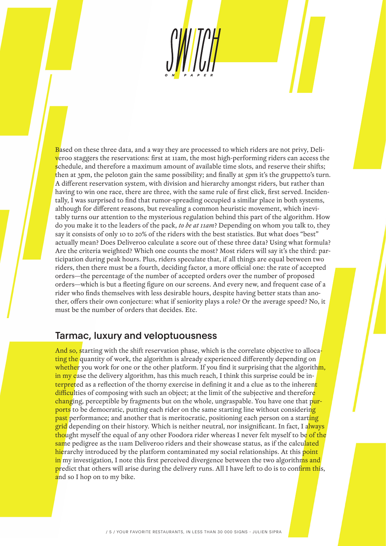Based on these three data, and a way they are processed to which riders are not privy, Deliveroo staggers the reservations: first at 11am, the most high-performing riders can access the schedule, and therefore a maximum amount of available time slots, and reserve their shifts; then at 3pm, the peloton gain the same possibility; and finally at 5pm it's the gruppetto's turn. A different reservation system, with division and hierarchy amongst riders, but rather than having to win one race, there are three, with the same rule of first click, first served. Incidentally, I was surprised to find that rumor-spreading occupied a similar place in both systems, although for different reasons, but revealing a common heuristic movement, which inevitably turns our attention to the mysterious regulation behind this part of the algorithm. How do you make it to the leaders of the pack, *to be at 11am*? Depending on whom you talk to, they say it consists of only 10 to 20% of the riders with the best statistics. But what does "best" actually mean? Does Deliveroo calculate a score out of these three data? Using what formula? Are the criteria weighted? Which one counts the most? Most riders will say it's the third: participation during peak hours. Plus, riders speculate that, if all things are equal between two riders, then there must be a fourth, deciding factor, a more official one: the rate of accepted orders—the percentage of the number of accepted orders over the number of proposed orders—which is but a fleeting figure on our screens. And every new, and frequent case of a rider who finds themselves with less desirable hours, despite having better stats than another, offers their own conjecture: what if seniority plays a role? Or the average speed? No, it must be the number of orders that decides. Etc.

#### Tarmac, luxury and veloptuousness

And so, starting with the shift reservation phase, which is the correlate objective to allocating the quantity of work, the algorithm is already experienced differently depending on whether you work for one or the other platform. If you find it surprising that the algorithm, in my case the delivery algorithm, has this much reach, I think this surprise could be interpreted as a reflection of the thorny exercise in defining it and a clue as to the inherent difficulties of composing with such an object; at the limit of the subjective and therefore changing, perceptible by fragments but on the whole, ungraspable. You have one that purports to be democratic, putting each rider on the same starting line without considering past performance; and another that is meritocratic, positioning each person on a starting grid depending on their history. Which is neither neutral, nor insignificant. In fact, I always thought myself the equal of any other Foodora rider whereas I never felt myself to be of the same pedigree as the 11am Deliveroo riders and their showcase status, as if the calculated hierarchy introduced by the platform contaminated my social relationships. At this point in my investigation, I note this first perceived divergence between the two algorithms and predict that others will arise during the delivery runs. All I have left to do is to confirm this, and so I hop on to my bike.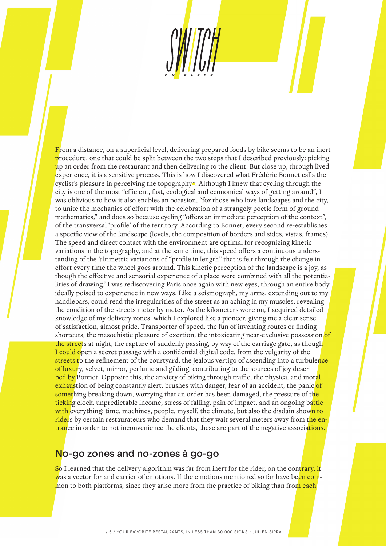From a distance, on a superficial level, delivering prepared foods by bike seems to be an inert procedure, one that could be split between the two steps that I described previously: picking up an order from the restaurant and then delivering to the client. But close up, through lived experience, it is a sensitive process. This is how I discovered what Frédéric Bonnet calls the cyclist's pleasure in perceiving the topography<sup>6</sup>. Although I knew that cycling through the city is one of the most "efficient, fast, ecological and economical ways of getting around", I was oblivious to how it also enables an occasion, "for those who love landscapes and the city, to unite the mechanics of effort with the celebration of a strangely poetic form of ground mathematics," and does so because cycling "offers an immediate perception of the context", of the transversal 'profile' of the territory. According to Bonnet, every second re-establishes a specific view of the landscape (levels, the composition of borders and sides, vistas, frames). The speed and direct contact with the environment are optimal for recognizing kinetic variations in the topography, and at the same time, this speed offers a continuous understanding of the 'altimetric variations of "profile in length" that is felt through the change in effort every time the wheel goes around. This kinetic perception of the landscape is a joy, as though the effective and sensorial experience of a place were combined with all the potentialities of drawing.' I was rediscovering Paris once again with new eyes, through an entire body ideally poised to experience in new ways. Like a seismograph, my arms, extending out to my handlebars, could read the irregularities of the street as an aching in my muscles, revealing the condition of the streets meter by meter. As the kilometers wore on, I acquired detailed knowledge of my delivery zones, which I explored like a pioneer, giving me a clear sense of satisfaction, almost pride. Transporter of speed, the fun of inventing routes or finding shortcuts, the masochistic pleasure of exertion, the intoxicating near-exclusive possession of the streets at night, the rapture of suddenly passing, by way of the carriage gate, as though I could open a secret passage with a confidential digital code, from the vulgarity of the streets to the refinement of the courtyard, the jealous vertigo of ascending into a turbulence of luxury, velvet, mirror, perfume and gilding, contributing to the sources of joy described by Bonnet. Opposite this, the anxiety of biking through traffic, the physical and moral exhaustion of being constantly alert, brushes with danger, fear of an accident, the panic of something breaking down, worrying that an order has been damaged, the pressure of the ticking clock, unpredictable income, stress of falling, pain of impact, and an ongoing battle with everything: time, machines, people, myself, the climate, but also the disdain shown to riders by certain restaurateurs who demand that they wait several meters away from the entrance in order to not inconvenience the clients, these are part of the negative associations.

# No-go zones and no-zones à go-go

So I learned that the delivery algorithm was far from inert for the rider, on the contrary, it was a vector for and carrier of emotions. If the emotions mentioned so far have been common to both platforms, since they arise more from the practice of biking than from each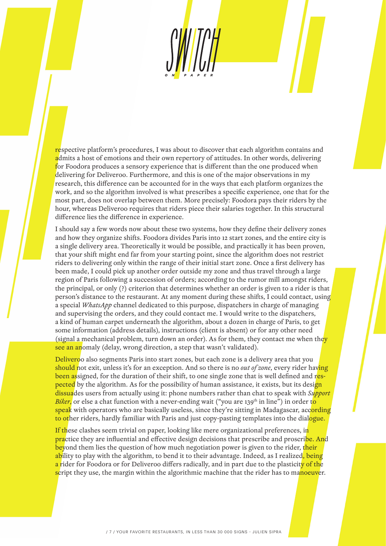respective platform's procedures, I was about to discover that each algorithm contains and admits a host of emotions and their own repertory of attitudes. In other words, delivering for Foodora produces a sensory experience that is different than the one produced when delivering for Deliveroo. Furthermore, and this is one of the major observations in my research, this difference can be accounted for in the ways that each platform organizes the work, and so the algorithm involved is what prescribes a specific experience, one that for the most part, does not overlap between them. More precisely: Foodora pays their riders by the hour, whereas Deliveroo requires that riders piece their salaries together. In this structural difference lies the difference in experience.

I should say a few words now about these two systems, how they define their delivery zones and how they organize shifts. Foodora divides Paris into 12 start zones, and the entire city is a single delivery area. Theoretically it would be possible, and practically it has been proven, that your shift might end far from your starting point, since the algorithm does not restrict riders to delivering only within the range of their initial start zone. Once a first delivery has been made, I could pick up another order outside my zone and thus travel through a large region of Paris following a succession of orders; according to the rumor mill amongst riders, the principal, or only (?) criterion that determines whether an order is given to a rider is that person's distance to the restaurant. At any moment during these shifts, I could contact, using a special *WhatsApp* channel dedicated to this purpose, dispatchers in charge of managing and supervising the orders, and they could contact me. I would write to the dispatchers, a kind of human carpet underneath the algorithm, about a dozen in charge of Paris, to get some information (address details), instructions (client is absent) or for any other need (signal a mechanical problem, turn down an order). As for them, they contact me when they see an anomaly (delay, wrong direction, a step that wasn't validated).

Deliveroo also segments Paris into start zones, but each zone is a delivery area that you should not exit, unless it's for an exception. And so there is no *out of zone*, every rider having been assigned, for the duration of their shift, to one single zone that is well defined and respected by the algorithm. As for the possibility of human assistance, it exists, but its design dissuades users from actually using it: phone numbers rather than chat to speak with *Support Biker*, or else a chat function with a never-ending wait ("you are 139<sup>th</sup> in line") in order to speak with operators who are basically useless, since they're sitting in Madagascar, acc<mark>ording</mark> to other riders, hardly familiar with Paris and just copy-pasting templates into the dialogue.

If these clashes seem trivial on paper, looking like mere organizational preferences, in practice they are influential and effective design decisions that prescribe and proscribe. And beyond them lies the question of how much negotiation power is given to the rider, their ability to play with the algorithm, to bend it to their advantage. Indeed, as I realized, being a rider for Foodora or for Deliveroo differs radically, and in part due to the plasticity of the script they use, the margin within the algorithmic machine that the rider has to manoeuver.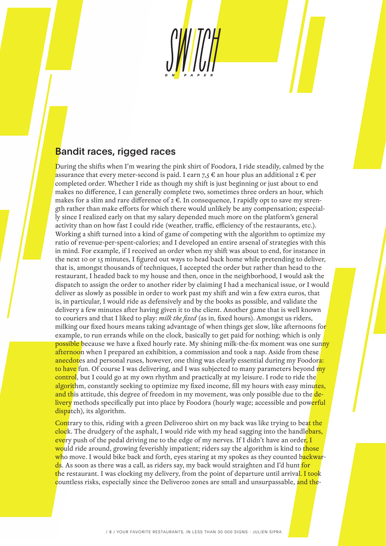## Bandit races, rigged races

During the shifts when I'm wearing the pink shirt of Foodora, I ride steadily, calmed by the assurance that every meter-second is paid. I earn  $7.5 \in \mathbb{R}$  an hour plus an additional  $2 \in \mathbb{R}$  per completed order. Whether I ride as though my shift is just beginning or just about to end makes no difference, I can generally complete two, sometimes three orders an hour, which makes for a slim and rare difference of 2 €. In consequence, I rapidly opt to save my strength rather than make efforts for which there would unlikely be any compensation; especially since I realized early on that my salary depended much more on the platform's general activity than on how fast I could ride (weather, traffic, efficiency of the restaurants, etc.). Working a shift turned into a kind of game of competing with the algorithm to optimize my ratio of revenue-per-spent-calories; and I developed an entire arsenal of strategies with this in mind. For example, if I received an order when my shift was about to end, for instance in the next 10 or 15 minutes, I figured out ways to head back home while pretending to deliver, that is, amongst thousands of techniques, I accepted the order but rather than head to the restaurant, I headed back to my house and then, once in the neighborhood, I would ask the dispatch to assign the order to another rider by claiming I had a mechanical issue, or I would deliver as slowly as possible in order to work past my shift and win a few extra euros, that is, in particular, I would ride as defensively and by the books as possible, and validate the delivery a few minutes after having given it to the client. Another game that is well known to couriers and that I liked to play: *milk the fixed* (as in, fixed hours). Amongst us riders, milking our fixed hours means taking advantage of when things get slow, like afternoons for example, to run errands while on the clock, basically to get paid for nothing; which is only possible because we have a fixed hourly rate. My shining milk-the-fix moment was one sunny afternoon when I prepared an exhibition, a commission and took a nap. Aside from these anecdotes and personal ruses, however, one thing was clearly essential during my Foodora: to have fun. Of course I was delivering, and I was subjected to many parameters beyond my control, but I could go at my own rhythm and practically at my leisure. I rode to ride the algorithm, constantly seeking to optimize my fixed income, fill my hours with easy minutes, and this attitude, this degree of freedom in my movement, was only possible due to the delivery methods specifically put into place by Foodora (hourly wage; accessible and powerful dispatch), its algorithm.

Contrary to this, riding with a green Deliveroo shirt on my back was like trying to beat the clock. The drudgery of the asphalt, I would ride with my head sagging into the handlebars, every push of the pedal driving me to the edge of my nerves. If I didn't have an order, I would ride around, growing feverishly impatient; riders say the algorithm is kind to those who move. I would bike back and forth, eyes staring at my spokes as they counted backwards. As soon as there was a call, as riders say, my back would straighten and I'd hunt for the restaurant. I was clocking my delivery, from the point of departure until arrival. I took countless risks, especially since the Deliveroo zones are small and unsurpassable, and the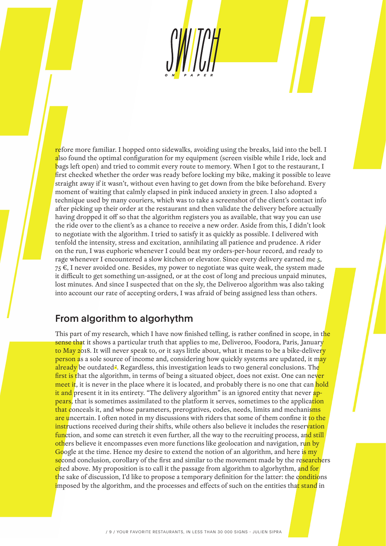refore more familiar. I hopped onto sidewalks, avoiding using the breaks, laid into the bell. I also found the optimal configuration for my equipment (screen visible while I ride, lock and bags left open) and tried to commit every route to memory. When I got to the restaurant, I first checked whether the order was ready before locking my bike, making it possible to leave straight away if it wasn't, without even having to get down from the bike beforehand. Every moment of waiting that calmly elapsed in pink induced anxiety in green. I also adopted a technique used by many couriers, which was to take a screenshot of the client's contact info after picking up their order at the restaurant and then validate the delivery before actually having dropped it off so that the algorithm registers you as available, that way you can use the ride over to the client's as a chance to receive a new order. Aside from this, I didn't look to negotiate with the algorithm. I tried to satisfy it as quickly as possible. I delivered with tenfold the intensity, stress and excitation, annihilating all patience and prudence. A rider on the run, I was euphoric whenever I could beat my orders-per-hour record, and ready to rage whenever I encountered a slow kitchen or elevator. Since every delivery earned me 5, 75 €, I never avoided one. Besides, my power to negotiate was quite weak, the system made it difficult to get something un-assigned, or at the cost of long and precious unpaid minutes, lost minutes. And since I suspected that on the sly, the Deliveroo algorithm was also taking into account our rate of accepting orders, I was afraid of being assigned less than others.

## From algorithm to algorhythm

This part of my research, which I have now finished telling, is rather confined in scope, in the sense that it shows a particular truth that applies to me, Deliveroo, Foodora, Paris, January to May 2018. It will never speak to, or it says little about, what it means to be a bike-delivery person as a sole source of income and, considering how quickly systems are updated, it may **already** be outdated<sup>*a*</sup>. Regardless, this investigation leads to two general conclusions. The first is that the algorithm, in terms of being a situated object, does not exist. One can never meet it, it is never in the place where it is located, and probably there is no one that can hold it and present it in its entirety. "The delivery algorithm" is an ignored entity that never appears, that is sometimes assimilated to the platform it serves, sometimes to the application that conceals it, and whose parameters, prerogatives, codes, needs, limits and mechanisms are uncertain. I often noted in my discussions with riders that some of them confine it to the instructions received during their shifts, while others also believe it includes the reservation function, and some can stretch it even further, all the way to the recruiting process, and still others believe it encompasses even more functions like geolocation and navigation, run by Google at the time. Hence my desire to extend the notion of an algorithm, and here is my second conclusion, corollary of the first and similar to the movement made by the researchers cited above. My proposition is to call it the passage from algorithm to algorhythm, and for the sake of discussion, I'd like to propose a temporary definition for the latter: the conditions imposed by the algorithm, and the processes and effects of such on the entities that stand in